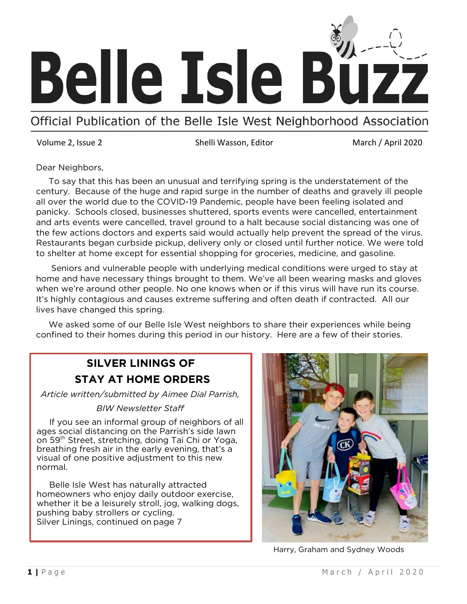

Official Publication of the Belle Isle West Neighborhood Association

Volume 2, Issue 2 Shelli Wasson, Editor March / April 2020

Dear Neighbors,

 To say that this has been an unusual and terrifying spring is the understatement of the century. Because of the huge and rapid surge in the number of deaths and gravely ill people all over the world due to the COVID-19 Pandemic, people have been feeling isolated and panicky. Schools closed, businesses shuttered, sports events were cancelled, entertainment and arts events were cancelled, travel ground to a halt because social distancing was one of the few actions doctors and experts said would actually help prevent the spread of the virus. Restaurants began curbside pickup, delivery only or closed until further notice. We were told to shelter at home except for essential shopping for groceries, medicine, and gasoline.

 Seniors and vulnerable people with underlying medical conditions were urged to stay at home and have necessary things brought to them. We've all been wearing masks and gloves when we're around other people. No one knows when or if this virus will have run its course. It's highly contagious and causes extreme suffering and often death if contracted. All our lives have changed this spring.

 We asked some of our Belle Isle West neighbors to share their experiences while being confined to their homes during this period in our history. Here are a few of their stories.

## **SILVER LININGS OF STAY AT HOME ORDERS**

*Article written/submitted by Aimee Dial Parrish,* 

#### *BIW Newsletter Staff*

 If you see an informal group of neighbors of all ages social distancing on the Parrish's side lawn on 59<sup>th</sup> Street, stretching, doing Tai Chi or Yoga, breathing fresh air in the early evening, that's a visual of one positive adjustment to this new normal.

Belle Isle West has naturally attracted homeowners who enjoy daily outdoor exercise, whether it be a leisurely stroll, jog, walking dogs, pushing baby strollers or cycling. Silver Linings, continued on page 7



Harry, Graham and Sydney Woods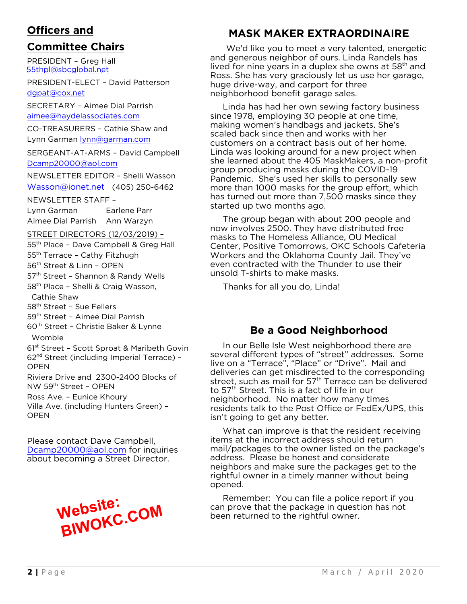## **Officers and**

## **Committee Chairs**

PRESIDENT – Greg Hall [55thpl@sbcglobal.net](mailto:55thpl@sbcglobal.net)

PRESIDENT-ELECT – David Patterson [dgpat@cox.net](mailto:dgpat@cox.net)

SECRETARY – Aimee Dial Parrish [aimee@haydelassociates.com](mailto:aimee@haydelassociates.com)

CO-TREASURERS – Cathie Shaw and Lynn Garman [lynn@garman.com](mailto:lynn@garman.com)

SERGEANT-AT-ARMS – David Campbell [Dcamp20000@aol.com](mailto:Dcamp20000@aol.com)

NEWSLETTER EDITOR – Shelli Wasson

[Wasson@ionet.net](mailto:Wasson@ionet.net) (405) 250-6462

NEWSLETTER STAFF –

Lynn Garman Earlene Parr Aimee Dial Parrish Ann Warzyn

STREET DIRECTORS (12/03/2019) –

55th Place – Dave Campbell & Greg Hall 55<sup>th</sup> Terrace - Cathy Fitzhugh 56th Street & Linn – OPEN 57<sup>th</sup> Street - Shannon & Randy Wells

58<sup>th</sup> Place - Shelli & Craig Wasson,

Cathie Shaw

58<sup>th</sup> Street - Sue Fellers

- 59<sup>th</sup> Street Aimee Dial Parrish
- 60th Street Christie Baker & Lynne Womble

61st Street – Scott Sproat & Maribeth Govin 62nd Street (including Imperial Terrace) – OPEN

Riviera Drive and 2300-2400 Blocks of NW 59th Street – OPEN

Ross Ave. – Eunice Khoury Villa Ave. (including Hunters Green) –

**OPEN** 

Please contact Dave Campbell, Dcamp20000@aol.com for inquiries about [becoming a Street](mailto:Dcamp20000@aol.com) Director.



## **MASK MAKER EXTRAORDINAIRE**

We'd like you to meet a very talented, energetic and generous neighbor of ours. Linda Randels has lived for nine years in a duplex she owns at  $58<sup>th</sup>$  and Ross. She has very graciously let us use her garage, huge drive-way, and carport for three neighborhood benefit garage sales.

Linda has had her own sewing factory business since 1978, employing 30 people at one time, making women's handbags and jackets. She's scaled back since then and works with her customers on a contract basis out of her home. Linda was looking around for a new project when she learned about the 405 MaskMakers, a non-profit group producing masks during the COVID-19 Pandemic. She's used her skills to personally sew more than 1000 masks for the group effort, which has turned out more than 7,500 masks since they started up two months ago.

The group began with about 200 people and now involves 2500. They have distributed free masks to The Homeless Alliance, OU Medical Center, Positive Tomorrows, OKC Schools Cafeteria Workers and the Oklahoma County Jail. They've even contracted with the Thunder to use their unsold T-shirts to make masks.

Thanks for all you do, Linda!

## **Be a Good Neighborhood**

In our Belle Isle West neighborhood there are several different types of "street" addresses. Some live on a "Terrace", "Place" or "Drive". Mail and deliveries can get misdirected to the corresponding street, such as mail for  $57<sup>th</sup>$  Terrace can be delivered to 57<sup>th</sup> Street. This is a fact of life in our neighborhood. No matter how many times residents talk to the Post Office or FedEx/UPS, this isn't going to get any better.

What can improve is that the resident receiving items at the incorrect address should return mail/packages to the owner listed on the package's address. Please be honest and considerate neighbors and make sure the packages get to the rightful owner in a timely manner without being opened.

 Remember: You can file a police report if you can prove that the package in question has not been returned to the rightful owner.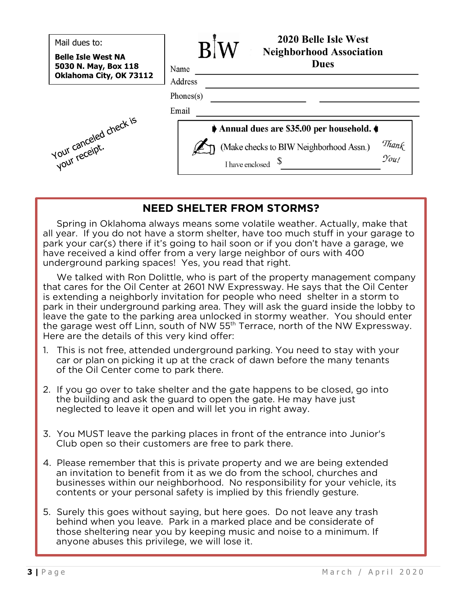| Mail dues to:                                                                | 2020 Belle Isle West<br><b>Neighborhood Association</b>                          |
|------------------------------------------------------------------------------|----------------------------------------------------------------------------------|
| <b>Belle Isle West NA</b><br>5030 N. May, Box 118<br>Oklahoma City, OK 73112 | <b>Dues</b><br>Name<br>Address                                                   |
|                                                                              | Phones(s)<br>Email                                                               |
|                                                                              | Annual dues are \$35.00 per household.                                           |
| Your canceled check is                                                       | Thank<br>You!<br>(Make checks to BIW Neighborhood Assn.)<br>S<br>I have enclosed |

### **NEED SHELTER FROM STORMS?**

 Spring in Oklahoma always means some volatile weather. Actually, make that all year. If you do not have a storm shelter, have too much stuff in your garage to park your car(s) there if it's going to hail soon or if you don't have a garage, we have received a kind offer from a very large neighbor of ours with 400 underground parking spaces! Yes, you read that right.

We talked with Ron Dolittle, who is part of the property management company that cares for the Oil Center at 2601 NW Expressway. He says that the Oil Center is extending a neighborly invitation for people who need shelter in a storm to park in their underground parking area. They will ask the guard inside the lobby to leave the gate to the parking area unlocked in stormy weather. You should enter the garage west off Linn, south of NW  $55<sup>th</sup>$  Terrace, north of the NW Expressway. Here are the details of this very kind offer:

- 1. This is not free, attended underground parking. You need to stay with your car or plan on picking it up at the crack of dawn before the many tenants of the Oil Center come to park there.
- 2. If you go over to take shelter and the gate happens to be closed, go into the building and ask the guard to open the gate. He may have just neglected to leave it open and will let you in right away.
- 3. You MUST leave the parking places in front of the entrance into Junior's Club open so their customers are free to park there.
- 4. Please remember that this is private property and we are being extended an invitation to benefit from it as we do from the school, churches and businesses within our neighborhood. No responsibility for your vehicle, its contents or your personal safety is implied by this friendly gesture.
- 5. Surely this goes without saying, but here goes. Do not leave any trash behind when you leave. Park in a marked place and be considerate of those sheltering near you by keeping music and noise to a minimum. If anyone abuses this privilege, we will lose it.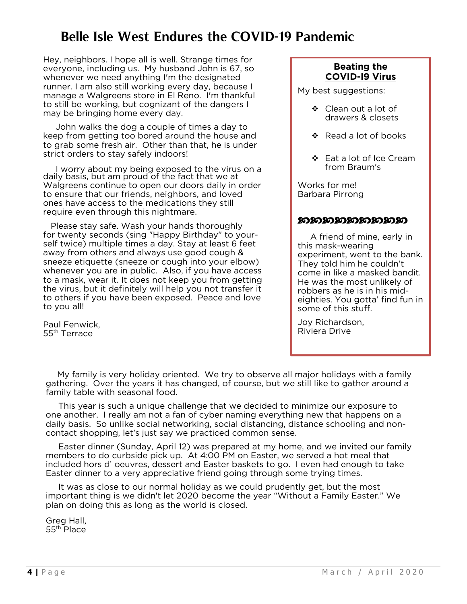## **Belle Isle West Endures the COVID-19 Pandemic**

Hey, neighbors. I hope all is well. Strange times for everyone, including us. My husband John is 67, so whenever we need anything I'm the designated runner. I am also still working every day, because I manage a Walgreens store in El Reno. I'm thankful to still be working, but cognizant of the dangers I may be bringing home every day.

John walks the dog a couple of times a day to keep from getting too bored around the house and to grab some fresh air. Other than that, he is under strict orders to stay safely indoors!

 I worry about my being exposed to the virus on a daily basis, but am proud of the fact that we at Walgreens continue to open our doors daily in order to ensure that our friends, neighbors, and loved ones have access to the medications they still require even through this nightmare.

 Please stay safe. Wash your hands thoroughly for twenty seconds (sing "Happy Birthday" to yourself twice) multiple times a day. Stay at least 6 feet away from others and always use good cough & sneeze etiquette (sneeze or cough into your elbow) whenever you are in public. Also, if you have access to a mask, wear it. It does not keep you from getting the virus, but it definitely will help you not transfer it to others if you have been exposed. Peace and love to you all!

Paul Fenwick, 55th Terrace

#### **Beating the COVID-l9 Virus**

My best suggestions:

- ❖ Clean out a lot of drawers & closets
- $\cdot$  Read a lot of books
- Eat a lot of Ice Cream from Braum's

Works for me! Barbara Pirrong

#### ෩෨෨෨෨෨෨෨

 A friend of mine, early in this mask-wearing experiment, went to the bank. They told him he couldn't come in like a masked bandit. He was the most unlikely of robbers as he is in his mideighties. You gotta' find fun in some of this stuff.

Joy Richardson, Riviera Drive

My family is very holiday oriented. We try to observe all major holidays with a family gathering. Over the years it has changed, of course, but we still like to gather around a family table with seasonal food.

 This year is such a unique challenge that we decided to minimize our exposure to one another. I really am not a fan of cyber naming everything new that happens on a daily basis. So unlike social networking, social distancing, distance schooling and noncontact shopping, let's just say we practiced common sense.

Easter dinner (Sunday, April 12) was prepared at my home, and we invited our family members to do curbside pick up. At 4:00 PM on Easter, we served a hot meal that included hors d' oeuvres, dessert and Easter baskets to go. I even had enough to take Easter dinner to a very appreciative friend going through some trying times.

 It was as close to our normal holiday as we could prudently get, but the most important thing is we didn't let 2020 become the year "Without a Family Easter." We plan on doing this as long as the world is closed.

Greg Hall, 55th Place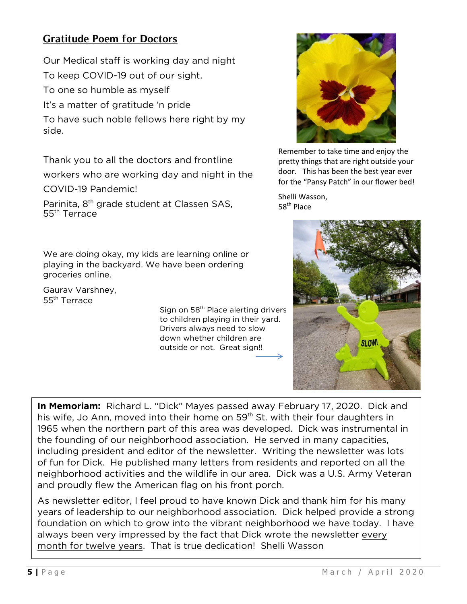## **Gratitude Poem for Doctors**

Our Medical staff is working day and night To keep COVID-19 out of our sight.

To one so humble as myself

It's a matter of gratitude 'n pride

To have such noble fellows here right by my side.

Thank you to all the doctors and frontline workers who are working day and night in the COVID-19 Pandemic!

Parinita, 8<sup>th</sup> grade student at Classen SAS, 55<sup>th</sup> Terrace

We are doing okay, my kids are learning online or playing in the backyard. We have been ordering groceries online.

Gaurav Varshney, 55th Terrace

Sign on 58<sup>th</sup> Place alerting drivers to children playing in their yard. Drivers always need to slow down whether children are outside or not. Great sign!!



Remember to take time and enjoy the pretty things that are right outside your door. This has been the best year ever for the "Pansy Patch" in our flower bed!

Shelli Wasson, 58<sup>th</sup> Place



**In Memoriam:** Richard L. "Dick" Mayes passed away February 17, 2020. Dick and his wife, Jo Ann, moved into their home on 59<sup>th</sup> St. with their four daughters in 1965 when the northern part of this area was developed. Dick was instrumental in the founding of our neighborhood association. He served in many capacities, including president and editor of the newsletter. Writing the newsletter was lots of fun for Dick. He published many letters from residents and reported on all the neighborhood activities and the wildlife in our area. Dick was a U.S. Army Veteran and proudly flew the American flag on his front porch.

As newsletter editor, I feel proud to have known Dick and thank him for his many years of leadership to our neighborhood association. Dick helped provide a strong foundation on which to grow into the vibrant neighborhood we have today. I have always been very impressed by the fact that Dick wrote the newsletter every month for twelve years. That is true dedication! Shelli Wasson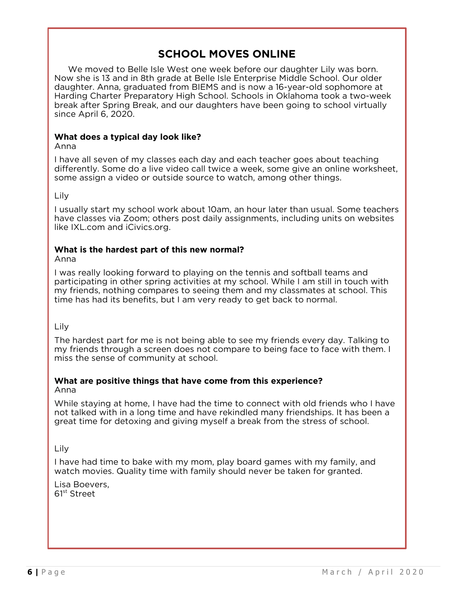## **SCHOOL MOVES ONLINE**

 We moved to Belle Isle West one week before our daughter Lily was born. Now she is 13 and in 8th grade at Belle Isle Enterprise Middle School. Our older daughter. Anna, graduated from BIEMS and is now a 16-year-old sophomore at Harding Charter Preparatory High School. Schools in Oklahoma took a two-week break after Spring Break, and our daughters have been going to school virtually since April 6, 2020.

#### **What does a typical day look like?**

Anna

I have all seven of my classes each day and each teacher goes about teaching differently. Some do a live video call twice a week, some give an online worksheet, some assign a video or outside source to watch, among other things.

Lily

I usually start my school work about 10am, an hour later than usual. Some teachers have classes via Zoom; others post daily assignments, including units on websites like IXL.com and iCivics.org.

#### **What is the hardest part of this new normal?**

Anna

I was really looking forward to playing on the tennis and softball teams and participating in other spring activities at my school. While I am still in touch with my friends, nothing compares to seeing them and my classmates at school. This time has had its benefits, but I am very ready to get back to normal.

Lily

The hardest part for me is not being able to see my friends every day. Talking to my friends through a screen does not compare to being face to face with them. I miss the sense of community at school.

#### **What are positive things that have come from this experience?**

#### Anna

While staying at home, I have had the time to connect with old friends who I have not talked with in a long time and have rekindled many friendships. It has been a great time for detoxing and giving myself a break from the stress of school.

Lily

I have had time to bake with my mom, play board games with my family, and watch movies. Quality time with family should never be taken for granted.

Lisa Boevers, 61st Street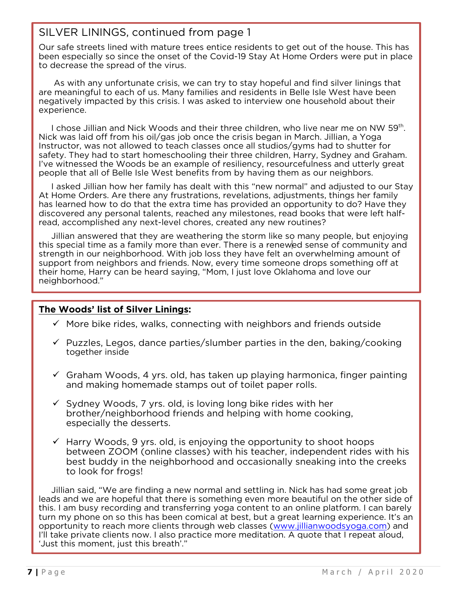### SILVER LININGS, continued from page 1

Our safe streets lined with mature trees entice residents to get out of the house. This has been especially so since the onset of the Covid-19 Stay At Home Orders were put in place to decrease the spread of the virus.

 As with any unfortunate crisis, we can try to stay hopeful and find silver linings that are meaningful to each of us. Many families and residents in Belle Isle West have been negatively impacted by this crisis. I was asked to interview one household about their experience.

I chose Jillian and Nick Woods and their three children, who live near me on NW 59<sup>th</sup>. Nick was laid off from his oil/gas job once the crisis began in March. Jillian, a Yoga Instructor, was not allowed to teach classes once all studios/gyms had to shutter for safety. They had to start homeschooling their three children, Harry, Sydney and Graham. I've witnessed the Woods be an example of resiliency, resourcefulness and utterly great people that all of Belle Isle West benefits from by having them as our neighbors.

I asked Jillian how her family has dealt with this "new normal" and adjusted to our Stay At Home Orders. Are there any frustrations, revelations, adjustments, things her family has learned how to do that the extra time has provided an opportunity to do? Have they discovered any personal talents, reached any milestones, read books that were left halfread, accomplished any next-level chores, created any new routines?

 Jillian answered that they are weathering the storm like so many people, but enjoying this special time as a family more than ever. There is a renewed sense of community and strength in our neighborhood. With job loss they have felt an overwhelming amount of support from neighbors and friends. Now, every time someone drops something off at their home, Harry can be heard saying, "Mom, I just love Oklahoma and love our neighborhood."

#### **The Woods' list of Silver Linings:**

- $\checkmark$  More bike rides, walks, connecting with neighbors and friends outside
- $\checkmark$  Puzzles, Legos, dance parties/slumber parties in the den, baking/cooking together inside
- $\checkmark$  Graham Woods, 4 yrs. old, has taken up playing harmonica, finger painting and making homemade stamps out of toilet paper rolls.
- $\checkmark$  Sydney Woods, 7 yrs. old, is loving long bike rides with her brother/neighborhood friends and helping with home cooking, especially the desserts.
- $\checkmark$  Harry Woods, 9 yrs. old, is enjoying the opportunity to shoot hoops between ZOOM (online classes) with his teacher, independent rides with his best buddy in the neighborhood and occasionally sneaking into the creeks to look for frogs!

Jillian said, "We are finding a new normal and settling in. Nick has had some great job leads and we are hopeful that there is something even more beautiful on the other side of this. I am busy recording and transferring yoga content to an online platform. I can barely turn my phone on so this has been comical at best, but a great learning experience. It's an opportunity to reach more clients through web classes [\(www.jillianwoodsyoga.com\)](http://www.jillianwoodsyoga.com/) and I'll take private clients now. I also practice more meditation. A quote that I repeat aloud, 'Just this moment, just this breath'."